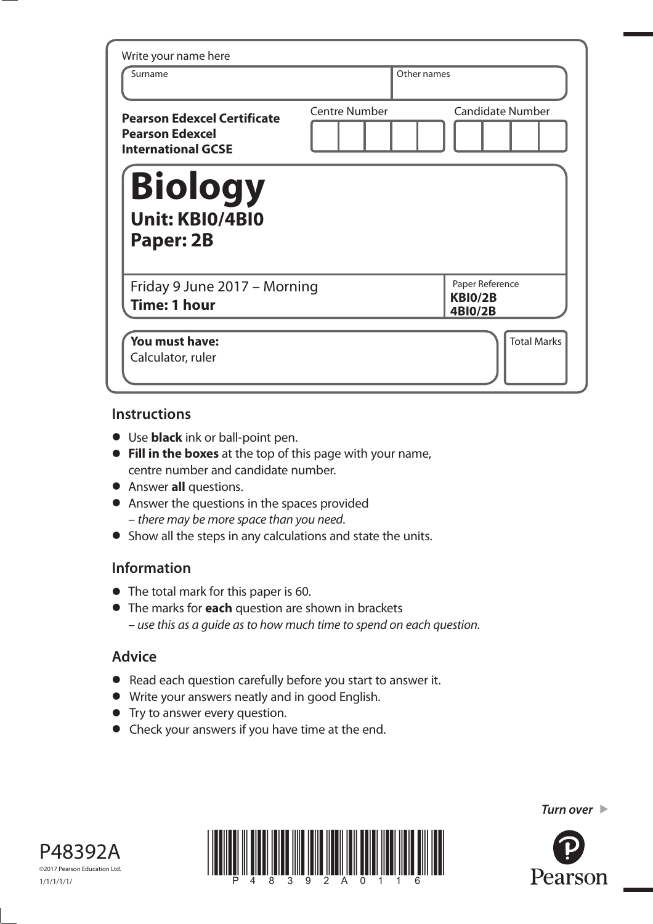| Write your name here<br>Surname                                                           |                      | Other names                                  |
|-------------------------------------------------------------------------------------------|----------------------|----------------------------------------------|
| <b>Pearson Edexcel Certificate</b><br><b>Pearson Edexcel</b><br><b>International GCSE</b> | <b>Centre Number</b> | <b>Candidate Number</b>                      |
| Biology                                                                                   |                      |                                              |
| <b>Unit: KBI0/4BI0</b><br>Paper: 2B                                                       |                      |                                              |
| Friday 9 June 2017 - Morning<br><b>Time: 1 hour</b>                                       |                      | Paper Reference<br><b>KBI0/2B</b><br>4BI0/2B |

## **Instructions**

- **•** Use **black** ink or ball-point pen.
- **• Fill in the boxes** at the top of this page with your name, centre number and candidate number.
- **•** Answer **all** questions.
- **•** Answer the questions in the spaces provided – there may be more space than you need.
- **•** Show all the steps in any calculations and state the units.

# **Information**

- **•** The total mark for this paper is 60.
- **•** The marks for **each** question are shown in brackets – use this as a guide as to how much time to spend on each question.

# **Advice**

- **•** Read each question carefully before you start to answer it.
- Read each question carefully before you start to Write your answers neatly and in good English.
- Write your answers neatly and<br>• Try to answer every question.
- **•** Try to answer every question.<br>• Check your answers if you have time at the end.





*Turn over* 

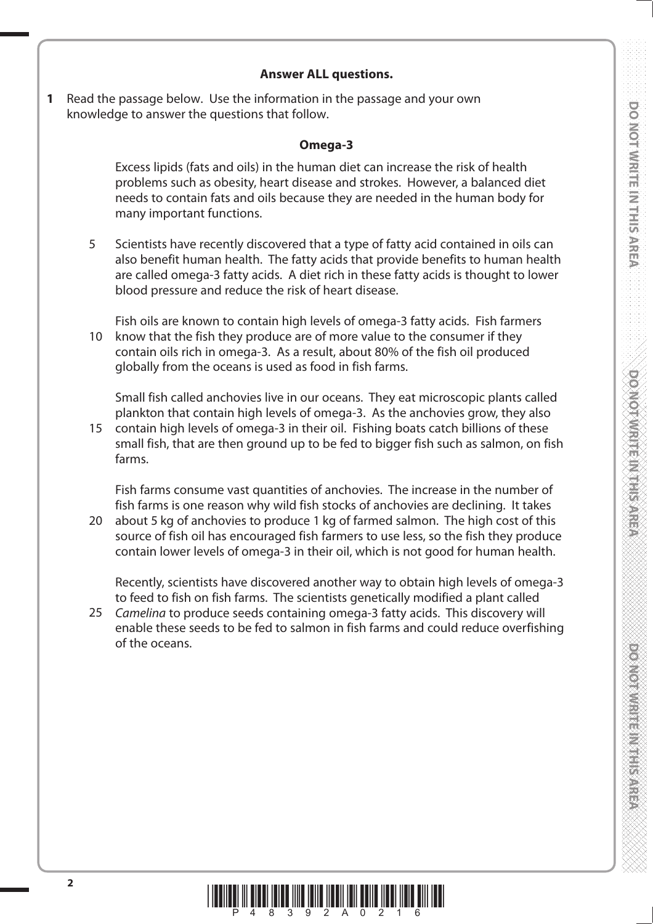**DOOMOTOMERINGS** 

## **Answer ALL questions.**

**1** Read the passage below. Use the information in the passage and your own knowledge to answer the questions that follow.

### **Omega-3**

Excess lipids (fats and oils) in the human diet can increase the risk of health problems such as obesity, heart disease and strokes. However, a balanced diet needs to contain fats and oils because they are needed in the human body for many important functions.

- 5 Scientists have recently discovered that a type of fatty acid contained in oils can also benefit human health. The fatty acids that provide benefits to human health are called omega-3 fatty acids. A diet rich in these fatty acids is thought to lower blood pressure and reduce the risk of heart disease.
- 10 know that the fish they produce are of more value to the consumer if they Fish oils are known to contain high levels of omega-3 fatty acids. Fish farmers contain oils rich in omega-3. As a result, about 80% of the fish oil produced globally from the oceans is used as food in fish farms.

Small fish called anchovies live in our oceans. They eat microscopic plants called plankton that contain high levels of omega-3. As the anchovies grow, they also

15 contain high levels of omega-3 in their oil. Fishing boats catch billions of these small fish, that are then ground up to be fed to bigger fish such as salmon, on fish farms.

Fish farms consume vast quantities of anchovies. The increase in the number of fish farms is one reason why wild fish stocks of anchovies are declining. It takes

20 about 5 kg of anchovies to produce 1 kg of farmed salmon. The high cost of this source of fish oil has encouraged fish farmers to use less, so the fish they produce contain lower levels of omega-3 in their oil, which is not good for human health.

25 Camelina to produce seeds containing omega-3 fatty acids. This discovery will Recently, scientists have discovered another way to obtain high levels of omega-3 to feed to fish on fish farms. The scientists genetically modified a plant called enable these seeds to be fed to salmon in fish farms and could reduce overfishing

of the oceans.

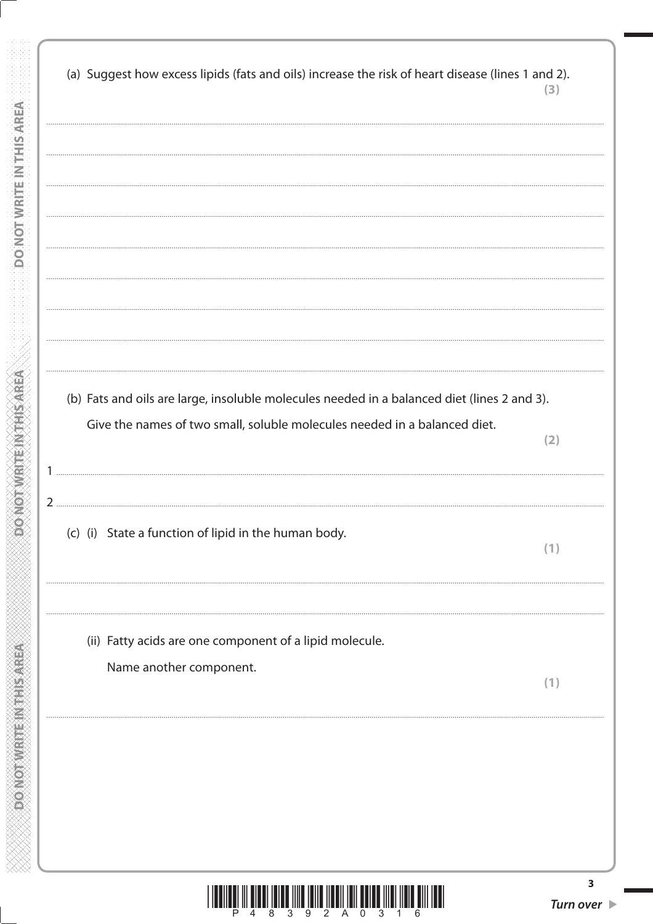|                | (b) Fats and oils are large, insoluble molecules needed in a balanced diet (lines 2 and 3). |     |
|----------------|---------------------------------------------------------------------------------------------|-----|
|                | Give the names of two small, soluble molecules needed in a balanced diet.                   | (2) |
|                |                                                                                             |     |
| $\overline{2}$ | (c) (i) State a function of lipid in the human body.                                        | (1) |
|                |                                                                                             |     |
|                | (ii) Fatty acids are one component of a lipid molecule.                                     |     |
|                | Name another component.                                                                     | (1) |
|                |                                                                                             |     |



 $\overline{\mathbf{3}}$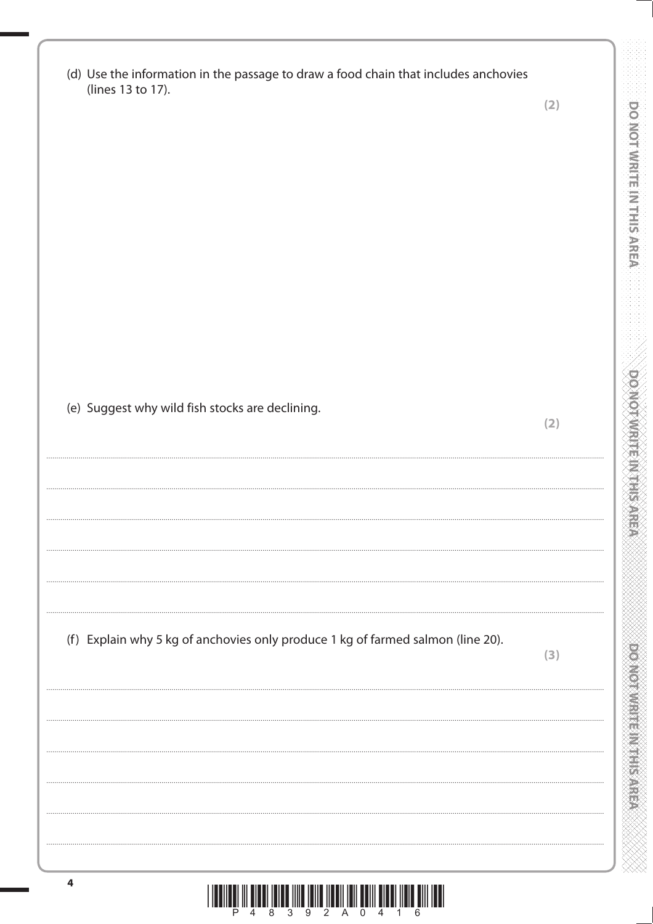| (f) Explain why 5 kg of anchovies only produce 1 kg of farmed salmon (line 20). | (3) |
|---------------------------------------------------------------------------------|-----|
|                                                                                 |     |
|                                                                                 | (2) |
| (e) Suggest why wild fish stocks are declining.                                 |     |
|                                                                                 |     |
|                                                                                 | (2) |

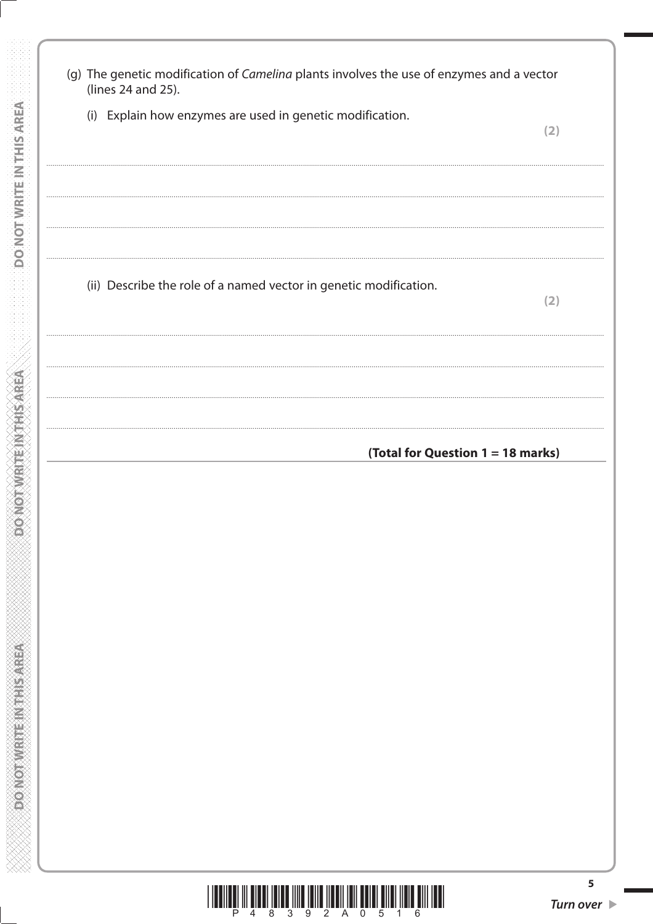(g) The genetic modification of Camelina plants involves the use of enzymes and a vector (lines 24 and 25). (i) Explain how enzymes are used in genetic modification.  $(2)$ (ii) Describe the role of a named vector in genetic modification.  $(2)$ (Total for Question 1 = 18 marks)  $\overline{5}$ Ш

P

**DO NOT WRITE IN THIS AREA** 

**DONOT WRITEIN THIS AREA** 

**MONOTHER REPAIRING CONFORM** 

Turn over  $\blacktriangleright$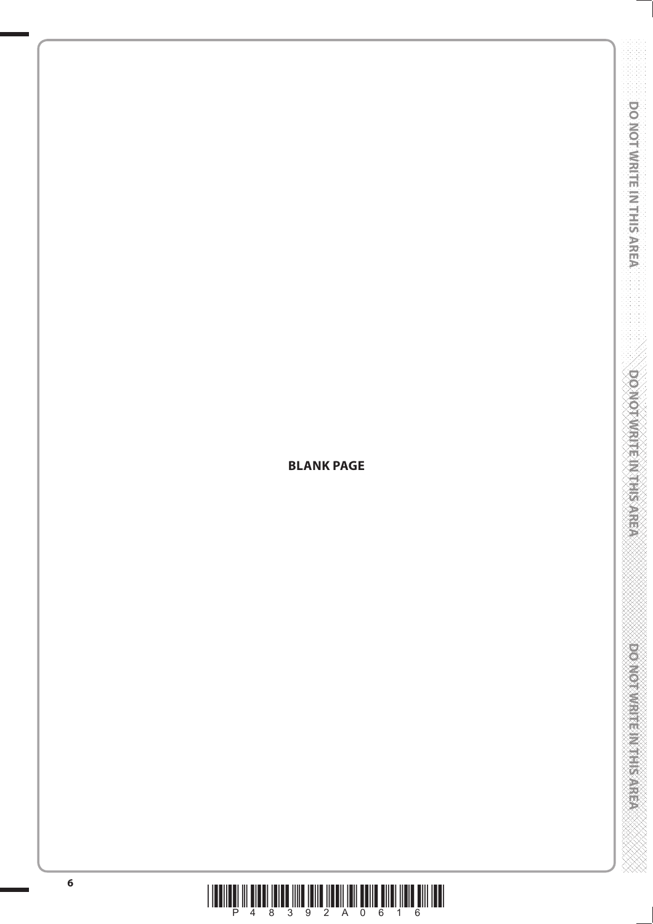

**BLANK PAGE**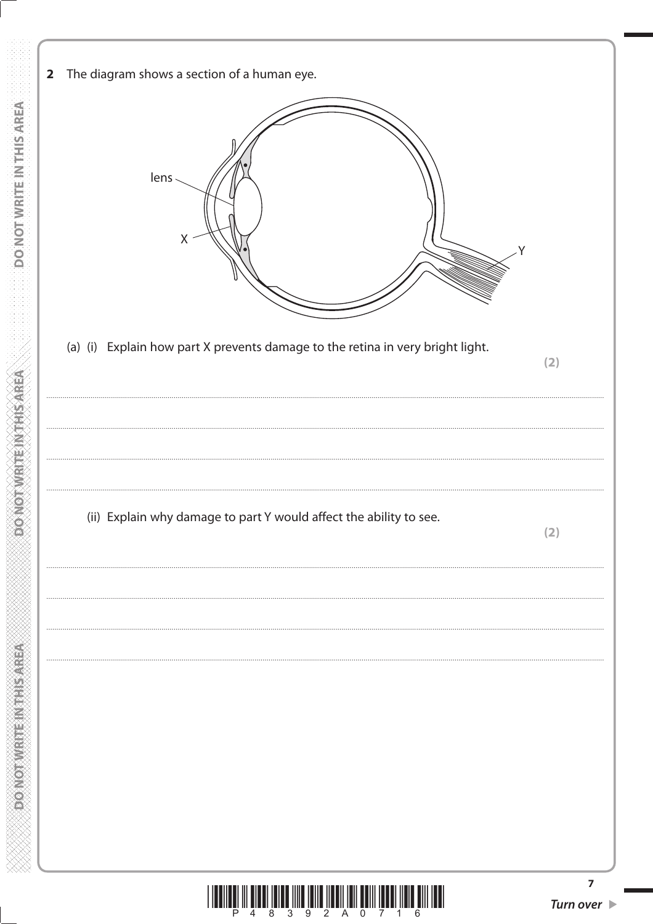| lens.<br>X                                                                     |                                 |
|--------------------------------------------------------------------------------|---------------------------------|
| (a) (i) Explain how part X prevents damage to the retina in very bright light. | (2)                             |
| (ii) Explain why damage to part Y would affect the ability to see.             | (2)                             |
|                                                                                |                                 |
|                                                                                | Turn over $\blacktriangleright$ |

**MANA SERIES SERIES**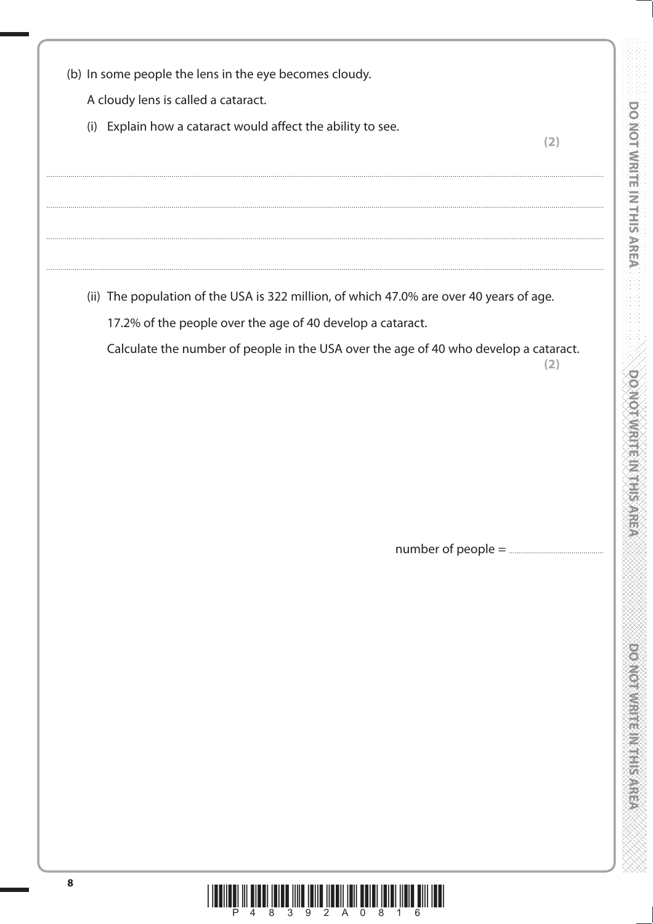DOWOUNTHING HIS AREA

(b) In some people the lens in the eye becomes cloudy.

A cloudy lens is called a cataract.

(i) Explain how a cataract would affect the ability to see.

 $(2)$ 

(ii) The population of the USA is 322 million, of which 47.0% are over 40 years of age. 17.2% of the people over the age of 40 develop a cataract.

Calculate the number of people in the USA over the age of 40 who develop a cataract.

 $(2)$ 

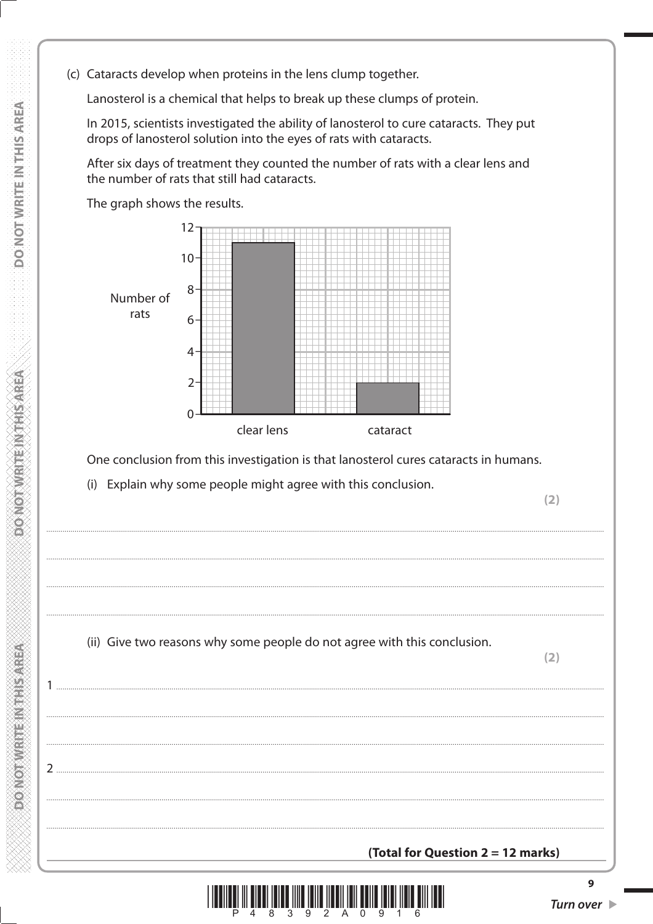(c) Cataracts develop when proteins in the lens clump together.

Lanosterol is a chemical that helps to break up these clumps of protein.

In 2015, scientists investigated the ability of lanosterol to cure cataracts. They put drops of lanosterol solution into the eyes of rats with cataracts.

After six days of treatment they counted the number of rats with a clear lens and the number of rats that still had cataracts.

The graph shows the results.



One conclusion from this investigation is that lanosterol cures cataracts in humans.

(i) Explain why some people might agree with this conclusion.

 $(2)$ 

(ii) Give two reasons why some people do not agree with this conclusion.

(Total for Question 2 = 12 marks)



 $\overline{9}$ 

1

 $\overline{2}$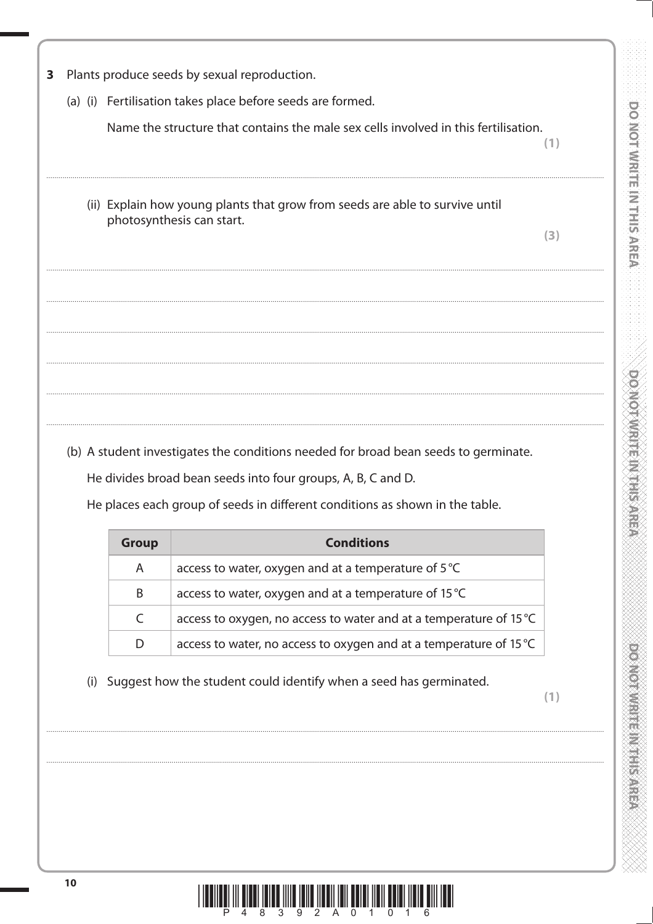**DOMONWERTH PRESSURE** 

#### Plants produce seeds by sexual reproduction.  $\mathbf{3}$

(a) (i) Fertilisation takes place before seeds are formed.

Name the structure that contains the male sex cells involved in this fertilisation.

 $(1)$ 

(ii) Explain how young plants that grow from seeds are able to survive until photosynthesis can start.

 $(3)$ 

(b) A student investigates the conditions needed for broad bean seeds to germinate.

He divides broad bean seeds into four groups, A, B, C and D.

He places each group of seeds in different conditions as shown in the table.

| <b>Group</b> | <b>Conditions</b>                                                  |
|--------------|--------------------------------------------------------------------|
| A            | access to water, oxygen and at a temperature of $5^{\circ}C$       |
| B            | access to water, oxygen and at a temperature of 15 °C              |
| C            | access to oxygen, no access to water and at a temperature of 15 °C |
| D            | access to water, no access to oxygen and at a temperature of 15 °C |

(i) Suggest how the student could identify when a seed has germinated.

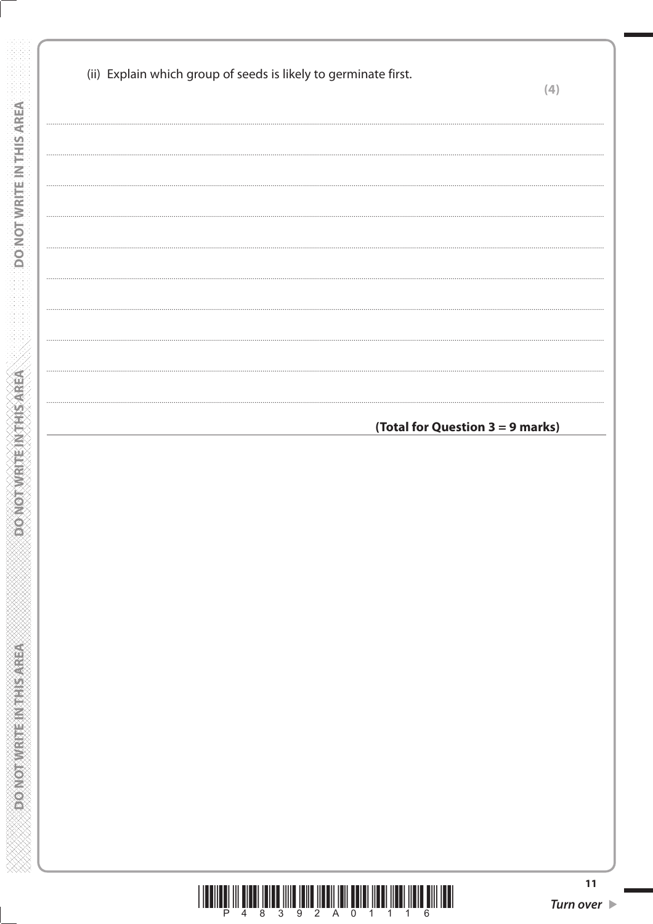|                                 | (ii) Explain which group of seeds is likely to germinate first. | (4) |
|---------------------------------|-----------------------------------------------------------------|-----|
|                                 |                                                                 |     |
| DO NOT WRITEIN THIS AREA        |                                                                 |     |
|                                 |                                                                 |     |
|                                 |                                                                 |     |
|                                 |                                                                 |     |
|                                 |                                                                 |     |
|                                 |                                                                 |     |
|                                 | <br>(Total for Question 3 = 9 marks)                            |     |
| DONOTWAITEWTHISAREA             |                                                                 |     |
|                                 |                                                                 |     |
|                                 |                                                                 |     |
|                                 |                                                                 |     |
|                                 |                                                                 |     |
|                                 |                                                                 |     |
|                                 |                                                                 |     |
| <b>POINCE IN THE REAL LOADS</b> |                                                                 |     |
|                                 |                                                                 |     |
|                                 |                                                                 |     |
|                                 |                                                                 | 11  |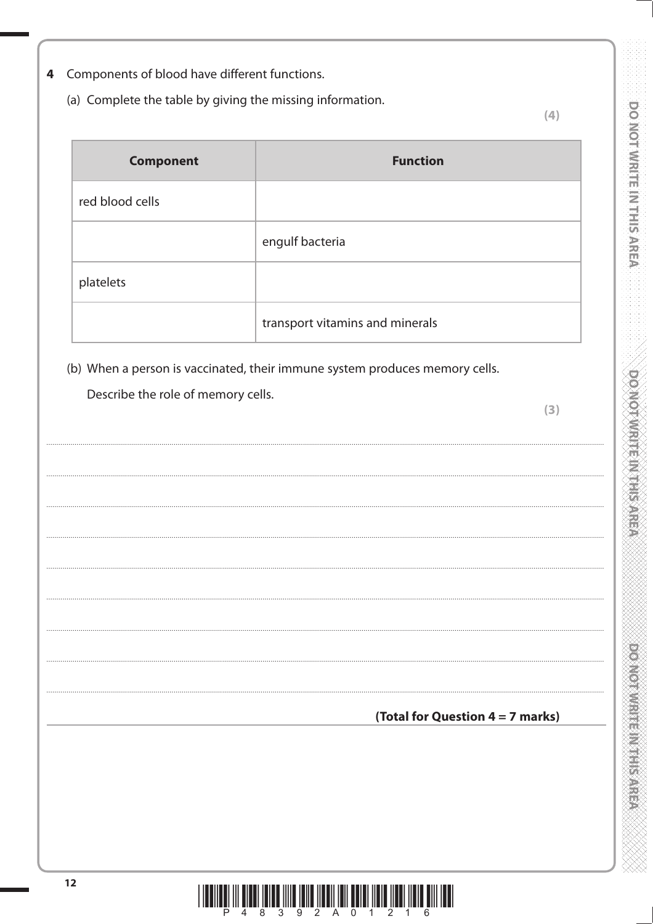- Components of blood have different functions.  $\overline{\mathbf{4}}$ 
	- (a) Complete the table by giving the missing information.

 $(4)$ 

| <b>Component</b> | <b>Function</b>                 |
|------------------|---------------------------------|
| red blood cells  |                                 |
|                  | engulf bacteria                 |
| platelets        |                                 |
|                  | transport vitamins and minerals |

(b) When a person is vaccinated, their immune system produces memory cells.

Describe the role of memory cells.

 $(3)$ 

(Total for Question 4 = 7 marks)

**DO NOT WRITE IN THIS AREA** 

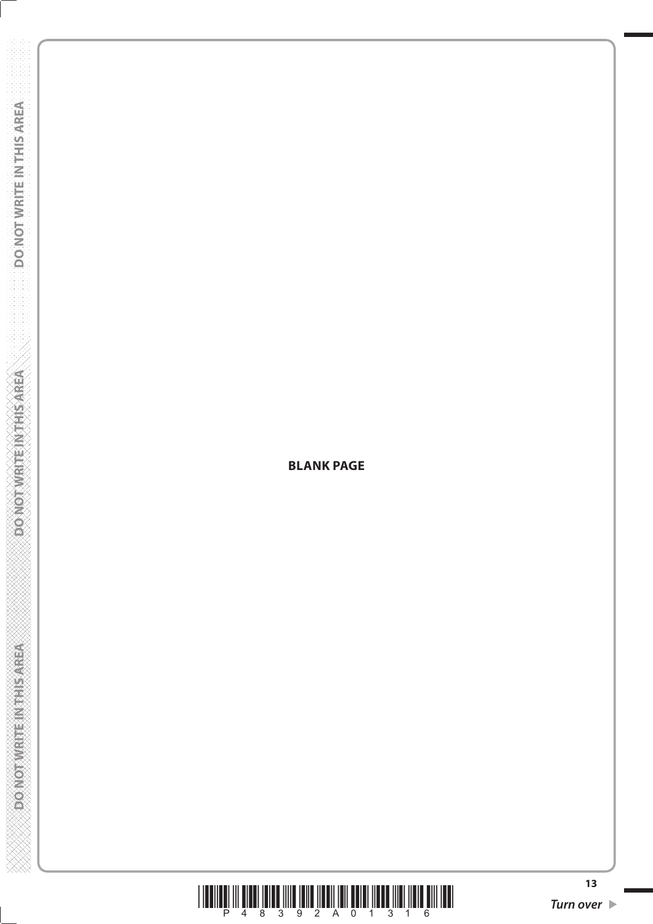

**DONOTWRITEINTHISMREA** 

**13** Turn over  $\frac{1}{4}$   $\frac{1}{8}$   $\frac{1}{3}$   $\frac{1}{9}$   $\frac{1}{2}$   $\frac{1}{4}$   $\frac{1}{6}$   $\frac{1}{6}$   $\frac{1}{2}$   $\frac{1}{4}$   $\frac{1}{8}$   $\frac{1}{2}$   $\frac{1}{4}$   $\frac{1}{8}$   $\frac{1}{2}$   $\frac{1}{4}$   $\frac{1}{8}$   $\frac{1}{2}$   $\frac{1}{4}$   $\frac{1}{8}$   $\frac{1}{$ 

**BLANK PAGE**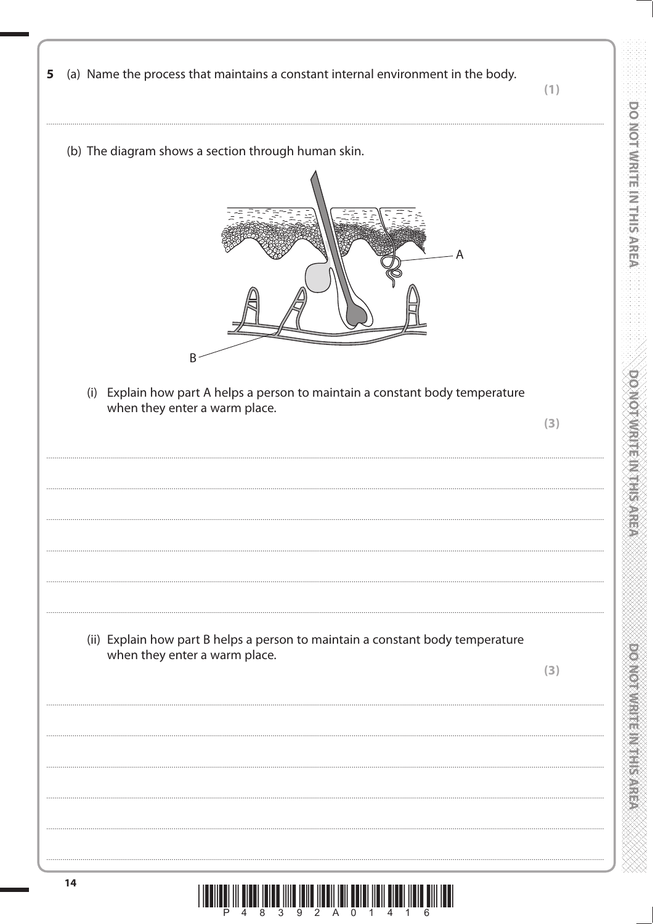

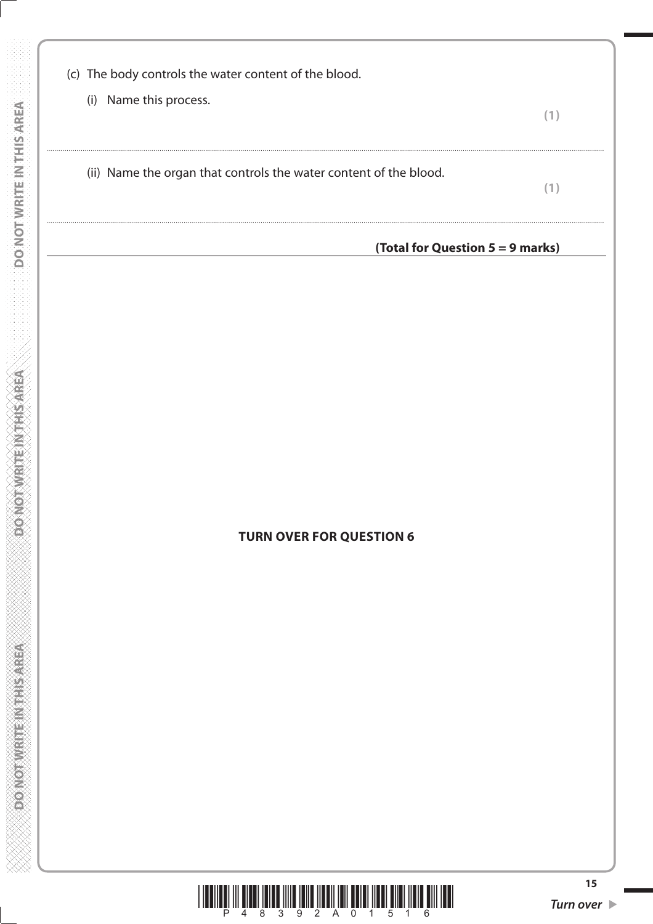

(Total for Question 5 = 9 marks)

## **TURN OVER FOR QUESTION 6**



 $15$